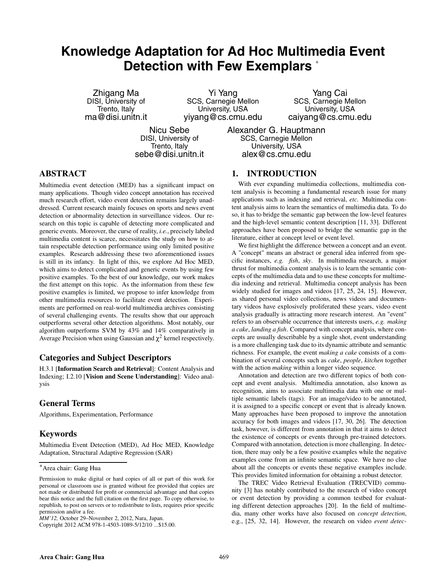# **Knowledge Adaptation for Ad Hoc Multimedia Event Detection with Few Exemplars** <sup>∗</sup>

Zhigang Ma DISI, University of Trento, Italy ma@disi.unitn.it

Yi Yang SCS, Carnegie Mellon University, USA yiyang@cs.cmu.edu

Yang Cai SCS, Carnegie Mellon University, USA caiyang@cs.cmu.edu

Nicu Sebe DISI, University of Trento, Italy sebe@disi.unitn.it Alexander G. Hauptmann SCS, Carnegie Mellon University, USA alex@cs.cmu.edu

# **ABSTRACT**

Multimedia event detection (MED) has a significant impact on many applications. Though video concept annotation has received much research effort, video event detection remains largely unaddressed. Current research mainly focuses on sports and news event detection or abnormality detection in surveillance videos. Our research on this topic is capable of detecting more complicated and generic events. Moreover, the curse of reality, *i.e.*, precisely labeled multimedia content is scarce, necessitates the study on how to attain respectable detection performance using only limited positive examples. Research addressing these two aforementioned issues is still in its infancy. In light of this, we explore Ad Hoc MED, which aims to detect complicated and generic events by using few positive examples. To the best of our knowledge, our work makes the first attempt on this topic. As the information from these few positive examples is limited, we propose to infer knowledge from other multimedia resources to facilitate event detection. Experiments are performed on real-world multimedia archives consisting of several challenging events. The results show that our approach outperforms several other detection algorithms. Most notably, our algorithm outperforms SVM by 43% and 14% comparatively in Average Precision when using Gaussian and  $\chi^2$  kernel respectively.

# **Categories and Subject Descriptors**

H.3.1 [**Information Search and Retrieval**]: Content Analysis and Indexing; I.2.10 [**Vision and Scene Understanding**]: Video analysis

# **General Terms**

Algorithms, Experimentation, Performance

# **Keywords**

Multimedia Event Detection (MED), Ad Hoc MED, Knowledge Adaptation, Structural Adaptive Regression (SAR)

Copyright 2012 ACM 978-1-4503-1089-5/12/10 ...\$15.00.

# **1. INTRODUCTION**

With ever expanding multimedia collections, multimedia content analysis is becoming a fundamental research issue for many applications such as indexing and retrieval, *etc.* Multimedia content analysis aims to learn the semantics of multimedia data. To do so, it has to bridge the semantic gap between the low-level features and the high-level semantic content description [11, 33]. Different approaches have been proposed to bridge the semantic gap in the literature, either at concept level or event level.

We first highlight the difference between a concept and an event. A "concept" means an abstract or general idea inferred from specific instances, *e.g. fish*, *sky*. In multimedia research, a major thrust for multimedia content analysis is to learn the semantic concepts of the multimedia data and to use these concepts for multimedia indexing and retrieval. Multimedia concept analysis has been widely studied for images and videos [17, 25, 24, 15]. However, as shared personal video collections, news videos and documentary videos have explosively proliferated these years, video event analysis gradually is attracting more research interest. An "event" refers to an observable occurrence that interests users, *e.g. making a cake*, *landing a fish*. Compared with concept analysis, where concepts are usually describable by a single shot, event understanding is a more challenging task due to its dynamic attribute and semantic richness. For example, the event *making a cake* consists of a combination of several concepts such as *cake*, *people*, *kitchen* together with the action *making* within a longer video sequence.

Annotation and detection are two different topics of both concept and event analysis. Multimedia annotation, also known as recognition, aims to associate multimedia data with one or multiple semantic labels (tags). For an image/video to be annotated, it is assigned to a specific concept or event that is already known. Many approaches have been proposed to improve the annotation accuracy for both images and videos [17, 30, 26]. The detection task, however, is different from annotation in that it aims to detect the existence of concepts or events through pre-trained detectors. Compared with annotation, detection is more challenging. In detection, there may only be a few positive examples while the negative examples come from an infinite semantic space. We have no clue about all the concepts or events these negative examples include. This provides limited information for obtaining a robust detector.

The TREC Video Retrieval Evaluation (TRECVID) community [3] has notably contributed to the research of video concept or event detection by providing a common testbed for evaluating different detection approaches [20]. In the field of multimedia, many other works have also focused on *concept detection*, e.g., [25, 32, 14]. However, the research on video *event detec-*

<sup>∗</sup>Area chair: Gang Hua

Permission to make digital or hard copies of all or part of this work for personal or classroom use is granted without fee provided that copies are not made or distributed for profit or commercial advantage and that copies bear this notice and the full citation on the first page. To copy otherwise, to republish, to post on servers or to redistribute to lists, requires prior specific permission and/or a fee.

*MM'12,* October 29–November 2, 2012, Nara, Japan.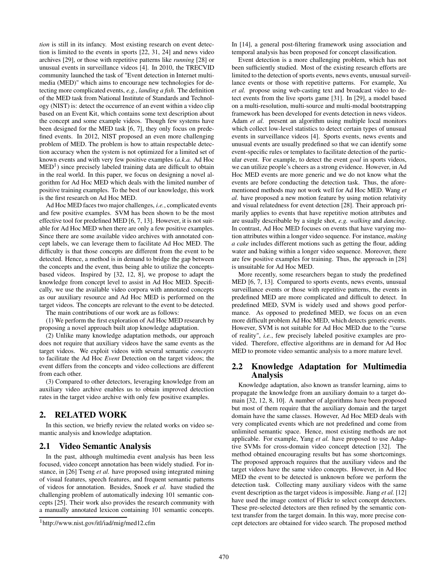*tion* is still in its infancy. Most existing research on event detection is limited to the events in sports [22, 31, 24] and news video archives [29], or those with repetitive patterns like *running* [28] or unusual events in surveillance videos [4]. In 2010, the TRECVID community launched the task of "Event detection in Internet multimedia (MED)" which aims to encourage new technologies for detecting more complicated events, *e.g.*, *landing a fish*. The definition of the MED task from National Institute of Standards and Technology (NIST) is: detect the occurrence of an event within a video clip based on an Event Kit, which contains some text description about the concept and some example videos. Though few systems have been designed for the MED task [6, 7], they only focus on predefined events. In 2012, NIST proposed an even more challenging problem of MED. The problem is how to attain respectable detection accuracy when the system is not optimized for a limited set of known events and with very few positive examples (*a.k.a.* Ad Hoc  $\text{MED}^1$ ) since precisely labeled training data are difficult to obtain in the real world. In this paper, we focus on designing a novel algorithm for Ad Hoc MED which deals with the limited number of positive training examples. To the best of our knowledge, this work is the first research on Ad Hoc MED.

Ad Hoc MED faces two major challenges, *i.e.*, complicated events and few positive examples. SVM has been shown to be the most effective tool for predefined MED [6, 7, 13]. However, it is not suitable for Ad Hoc MED when there are only a few positive examples. Since there are some available video archives with annotated concept labels, we can leverage them to facilitate Ad Hoc MED. The difficulty is that those concepts are different from the event to be detected. Hence, a method is in demand to bridge the gap between the concepts and the event, thus being able to utilize the conceptsbased videos. Inspired by [32, 12, 8], we propose to adapt the knowledge from concept level to assist in Ad Hoc MED. Specifically, we use the available video corpora with annotated concepts as our auxiliary resource and Ad Hoc MED is performed on the target videos. The concepts are relevant to the event to be detected.

The main contributions of our work are as follows:

(1) We perform the first exploration of Ad Hoc MED research by proposing a novel approach built atop knowledge adaptation.

(2) Unlike many knowledge adaptation methods, our approach does not require that auxiliary videos have the same events as the target videos. We exploit videos with several semantic *concepts* to facilitate the Ad Hoc *Event* Detection on the target videos; the event differs from the concepts and video collections are different from each other.

(3) Compared to other detectors, leveraging knowledge from an auxiliary video archive enables us to obtain improved detection rates in the target video archive with only few positive examples.

# **2. RELATED WORK**

In this section, we briefly review the related works on video semantic analysis and knowledge adaptation.

# **2.1 Video Semantic Analysis**

In the past, although multimedia event analysis has been less focused, video concept annotation has been widely studied. For instance, in [26] Tseng *et al.* have proposed using integrated mining of visual features, speech features, and frequent semantic patterns of videos for annotation. Besides, Snoek *et al.* have studied the challenging problem of automatically indexing 101 semantic concepts [25]. Their work also provides the research community with a manually annotated lexicon containing 101 semantic concepts.

In [14], a general post-filtering framework using association and temporal analysis has been proposed for concept classification.

Event detection is a more challenging problem, which has not been sufficiently studied. Most of the existing research efforts are limited to the detection of sports events, news events, unusual surveillance events or those with repetitive patterns. For example, Xu *et al.* propose using web-casting text and broadcast video to detect events from the live sports game [31]. In [29], a model based on a multi-resolution, multi-source and multi-modal bootstrapping framework has been developed for events detection in news videos. Adam *et al.* present an algorithm using multiple local monitors which collect low-level statistics to detect certain types of unusual events in surveillance videos [4]. Sports events, news events and unusual events are usually predefined so that we can identify some event-specific rules or templates to facilitate detection of the particular event. For example, to detect the event *goal* in sports videos, we can utilize people's cheers as a strong evidence. However, in Ad Hoc MED events are more generic and we do not know what the events are before conducting the detection task. Thus, the aforementioned methods may not work well for Ad Hoc MED. Wang *et al.* have proposed a new motion feature by using motion relativity and visual relatedness for event detection [28]. Their approach primarily applies to events that have repetitive motion attributes and are usually describable by a single shot, *e.g. walking* and *dancing*. In contrast, Ad Hoc MED focuses on events that have varying motion attributes within a longer video sequence. For instance, *making a cake* includes different motions such as getting the flour, adding water and baking within a longer video sequence. Moreover, there are few positive examples for training. Thus, the approach in [28] is unsuitable for Ad Hoc MED.

More recently, some researchers began to study the predefined MED [6, 7, 13]. Compared to sports events, news events, unusual surveillance events or those with repetitive patterns, the events in predefined MED are more complicated and difficult to detect. In predefined MED, SVM is widely used and shows good performance. As opposed to predefined MED, we focus on an even more difficult problem Ad Hoc MED, which detects generic events. However, SVM is not suitable for Ad Hoc MED due to the "curse of reality", *i.e.*, few precisely labeled positive examples are provided. Therefore, effective algorithms are in demand for Ad Hoc MED to promote video semantic analysis to a more mature level.

### **2.2 Knowledge Adaptation for Multimedia Analysis**

Knowledge adaptation, also known as transfer learning, aims to propagate the knowledge from an auxiliary domain to a target domain [32, 12, 8, 10]. A number of algorithms have been proposed but most of them require that the auxiliary domain and the target domain have the same classes. However, Ad Hoc MED deals with very complicated events which are not predefined and come from unlimited semantic space. Hence, most existing methods are not applicable. For example, Yang *et al.* have proposed to use Adaptive SVMs for cross-domain video concept detection [32]. The method obtained encouraging results but has some shortcomings. The proposed approach requires that the auxiliary videos and the target videos have the same video concepts. However, in Ad Hoc MED the event to be detected is unknown before we perform the detection task. Collecting many auxiliary videos with the same event description as the target videos is impossible. Jiang *et al.* [12] have used the image context of Flickr to select concept detectors. These pre-selected detectors are then refined by the semantic context transfer from the target domain. In this way, more precise concept detectors are obtained for video search. The proposed method

<sup>1</sup>http://www.nist.gov/itl/iad/mig/med12.cfm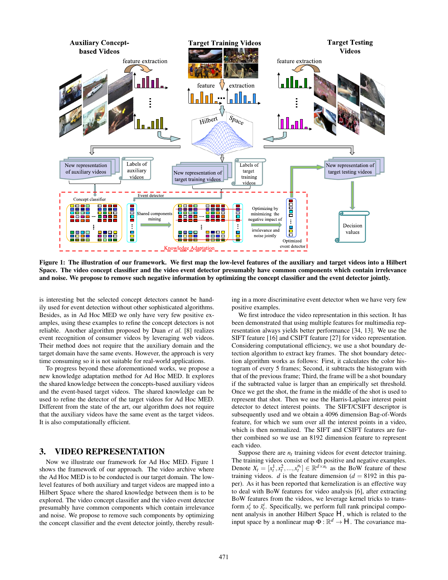

**Figure 1: The illustration of our framework. We first map the low-level features of the auxiliary and target videos into a Hilbert Space. The video concept classifier and the video event detector presumably have common components which contain irrelevance and noise. We propose to remove such negative information by optimizing the concept classifier and the event detector jointly.**

is interesting but the selected concept detectors cannot be handily used for event detection without other sophisticated algorithms. Besides, as in Ad Hoc MED we only have very few positive examples, using these examples to refine the concept detectors is not reliable. Another algorithm proposed by Duan *et al.* [8] realizes event recognition of consumer videos by leveraging web videos. Their method does not require that the auxiliary domain and the target domain have the same events. However, the approach is very time consuming so it is not suitable for real-world applications.

To progress beyond these aforementioned works, we propose a new knowledge adaptation method for Ad Hoc MED. It explores the shared knowledge between the concepts-based auxiliary videos and the event-based target videos. The shared knowledge can be used to refine the detector of the target videos for Ad Hoc MED. Different from the state of the art, our algorithm does not require that the auxiliary videos have the same event as the target videos. It is also computationally efficient.

# **3. VIDEO REPRESENTATION**

Now we illustrate our framework for Ad Hoc MED. Figure 1 shows the framework of our approach. The video archive where the Ad Hoc MED is to be conducted is our target domain. The lowlevel features of both auxiliary and target videos are mapped into a Hilbert Space where the shared knowledge between them is to be explored. The video concept classifier and the video event detector presumably have common components which contain irrelevance and noise. We propose to remove such components by optimizing the concept classifier and the event detector jointly, thereby resulting in a more discriminative event detector when we have very few positive examples.

We first introduce the video representation in this section. It has been demonstrated that using multiple features for multimedia representation always yields better performance [34, 13]. We use the SIFT feature [16] and CSIFT feature [27] for video representation. Considering computational efficiency, we use a shot boundary detection algorithm to extract key frames. The shot boundary detection algorithm works as follows: First, it calculates the color histogram of every 5 frames; Second, it subtracts the histogram with that of the previous frame; Third, the frame will be a shot boundary if the subtracted value is larger than an empirically set threshold. Once we get the shot, the frame in the middle of the shot is used to represent that shot. Then we use the Harris-Laplace interest point detector to detect interest points. The SIFT/CSIFT descriptor is subsequently used and we obtain a 4096 dimension Bag-of-Words feature, for which we sum over all the interest points in a video, which is then normalized. The SIFT and CSIFT features are further combined so we use an 8192 dimension feature to represent each video.

Suppose there are  $n_t$  training videos for event detector training. The training videos consist of both positive and negative examples. Denote  $X_t = [x_t^1, x_t^2, ..., x_t^{n_t}] \in \mathbb{R}^{d \times n_t}$  as the BoW feature of these training videos. *d* is the feature dimension  $(d = 8192$  in this paper). As it has been reported that kernelization is an effective way to deal with BoW features for video analysis [6], after extracting BoW features from the videos, we leverage kernel tricks to transform  $x_t^i$  to  $\tilde{x}_t^i$ . Specifically, we perform full rank principal component analysis in another Hilbert Space  $H$ , which is related to the input space by a nonlinear map  $\Phi : \mathbb{R}^d \to H$ . The covariance ma-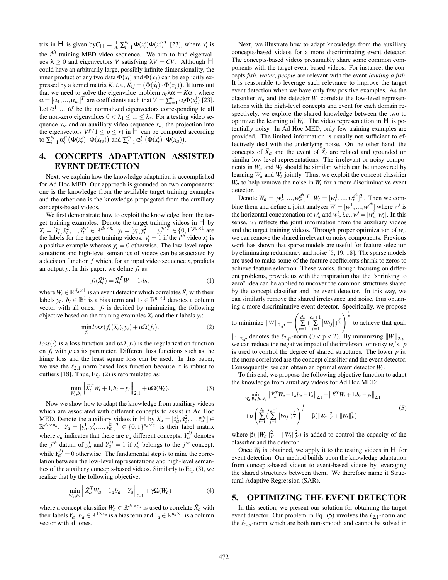trix in *H* is given by  $C_H = \frac{1}{n_t} \sum_{i=1}^{n_t} \Phi(x_t^i) \Phi(x_t^i)^T$  [23], where  $x_t^i$  is the *i th* training MED video sequence. We aim to find eigenvalues  $\lambda \geq 0$  and eigenvectors *V* satisfying  $\lambda V = CV$ . Although *H* could have an arbitrarily large, possibly infinite dimensionality, the inner product of any two data  $\Phi(x_i)$  and  $\Phi(x_i)$  can be explicitly expressed by a kernel matrix *K*, *i.e.*,  $K_{ij} = (\Phi(x_i) \cdot \Phi(x_j))$ . It turns out that we need to solve the eigenvalue problem  $n_t \lambda \alpha = K \alpha$ , where  $\alpha = [\alpha_1, ..., \alpha_{n_t}]^T$  are coefficients such that  $V = \sum_{i=1}^{n_t} \alpha_i \Phi(x_t^i)$  [23]. Let  $\alpha^1, ..., \alpha^r$  be the normalized eigenvectors corresponding to all the non-zero eigenvalues  $0 < \lambda_1 \leq ... \leq \lambda_r$ . For a testing video sequence  $x_{te}$  and an auxiliary video sequence  $x_a$ , the projection into the eigenvectors  $V^p(1 \leq p \leq r)$  in *H* can be computed according to  $\sum_{i=1}^{n_t} \alpha_i^p \left( \Phi(x_t^i) \cdot \hat{\Phi(x_{te})} \right)$  and  $\sum_{i=1}^{n_t} \alpha_i^p \left( \Phi(x_t^i) \cdot \hat{\Phi(x_a)} \right)$ .

# **4. CONCEPTS ADAPTATION ASSISTED EVENT DETECTION**

Next, we explain how the knowledge adaptation is accomplished for Ad Hoc MED. Our approach is grounded on two components: one is the knowledge from the available target training examples and the other one is the knowledge propagated from the auxiliary concepts-based videos.

We first demonstrate how to exploit the knowledge from the target training examples. Denote the target training videos in *H* by  $\widetilde{X}_t = [\tilde{x}_t^1, \tilde{x}_t^2, ..., \tilde{x}_t^{n_t}] \in \mathbb{R}^{d_h \times n_t}$ .  $y_t = [y_t^1, y_t^2, ..., y_t^{n_t}]^T \in \{0, 1\}^{n_t \times 1}$  are the labels for the target training videos.  $y_t^i = 1$  if the *i*<sup>th</sup> video  $x_t^i$  is a positive example whereas  $y_t^i = 0$  otherwise. The low-level representations and high-level semantics of videos can be associated by a decision function *f* which, for an input video sequence *x*, predicts an output *y*. In this paper, we define *ft* as:

$$
f_t(\tilde{X}_t^i) = \tilde{X}_t^T W_t + 1_t b_t,\tag{1}
$$

where  $W_t \in \mathbb{R}^{d_h \times 1}$  is an event detector which correlates  $\tilde{X}_t$  with their labels *y<sub>t</sub>*. *b<sub>t</sub>* ∈  $\mathbb{R}^1$  is a bias term and  $1_t \in \mathbb{R}^{n_t \times 1}$  denotes a column vector with all ones.  $f_t$  is decided by minimizing the following objective based on the training examples  $X_t$  and their labels  $y_t$ :

$$
\min_{f_t} loss(f_t(X_t), y_t) + \mu \Omega(f_t). \tag{2}
$$

 $loss(\cdot)$  is a loss function and  $\alpha \Omega(f_t)$  is the regularization function on  $f_t$  with  $\mu$  as its parameter. Different loss functions such as the hinge loss and the least square loss can be used. In this paper, we use the  $\ell_{2,1}$ -norm based loss function because it is robust to outliers [18]. Thus, Eq. (2) is reformulated as:

$$
\min_{W_t, b_t} \left\| \tilde{X}_t^T W_t + 1_t b_t - y_t \right\|_{2,1} + \mu \Omega(W_t). \tag{3}
$$

Now we show how to adapt the knowledge from auxiliary videos which are associated with different concepts to assist in Ad Hoc MED. Denote the auxiliary videos in *H* by  $\tilde{X}_a = [\tilde{x}_a^1, \tilde{x}_a^2, ..., \tilde{x}_a^{n_a}] \in$  $\mathbb{R}^{d_h \times n_a}$ .  $Y_a = [y_a^1, y_a^2, \dots, y_a^{n_a}]^T \in \{0, 1\}^{n_a \times c_a}$  is their label matrix where  $c_a$  indicates that there are  $c_a$  different concepts.  $Y_a^{ij}$  denotes the *j*<sup>th</sup> datum of  $y_a^i$  and  $Y_a^{ij} = 1$  if  $x_a^i$  belongs to the *j*<sup>th</sup> concept, while  $Y_a^{ij} = 0$  otherwise. The fundamental step is to mine the correlation between the low-level representations and high-level semantics of the auxiliary concepts-based videos. Similarly to Eq. (3), we realize that by the following objective:

$$
\min_{W_a, b_a} \left\| \tilde{X}_a^T W_a + 1_a b_a - Y_a \right\|_{2,1} + \gamma \Omega(W_a)
$$
\n(4)

where a concept classifier  $W_a \in \mathbb{R}^{d_h \times c_a}$  is used to correlate  $\tilde{X}_a$  with their labels  $Y_a$ .  $b_a \in \mathbb{R}^{1 \times c_a}$  is a bias term and  $1_a \in \mathbb{R}^{n_a \times 1}$  is a column vector with all ones.

Next, we illustrate how to adapt knowledge from the auxiliary concepts-based videos for a more discriminating event detector. The concepts-based videos presumably share some common components with the target event-based videos. For instance, the concepts *fish*, *water*, *people* are relevant with the event *landing a fish*. It is reasonable to leverage such relevance to improve the target event detection when we have only few positive examples. As the classifier  $W_a$  and the detector  $W_t$  correlate the low-level representations with the high-level concepts and event for each domain respectively, we explore the shared knowledge between the two to optimize the learning of  $W_t$ . The video representation in  $H$  is potentially noisy. In Ad Hoc MED, only few training examples are provided. The limited information is usually not sufficient to effectively deal with the underlying noise. On the other hand, the concepts of  $\tilde{X}_a$  and the event of  $\tilde{X}_t$  are related and grounded on similar low-level representations. The irrelevant or noisy components in  $W_a$  and  $W_t$  should be similar, which can be uncovered by learning  $W_a$  and  $W_t$  jointly. Thus, we exploit the concept classifier  $W_a$  to help remove the noise in  $W_t$  for a more discriminative event detector.

Denote  $W_a = [w_a^1, ..., w_a^{d^h}]^T$ ,  $W_t = [w_t^1, ..., w_t^{d^h}]^T$ . Then we combine them and define a joint analyzer  $W = [w^1, ..., w^{d^h}]$  where  $w^i$  is the horizontal concatenation of  $w_a^i$  and  $w_t^i$ , *i.e.*,  $w^i = [w_a^i, w_t^i]$ . In this sense, *wi* reflects the joint information from the auxiliary videos and the target training videos. Through proper optimization of *wi*, we can remove the shared irrelevant or noisy components. Previous work has shown that sparse models are useful for feature selection by eliminating redundancy and noise [5, 19, 18]. The sparse models are used to make some of the feature coefficients shrink to zeros to achieve feature selection. These works, though focusing on different problems, provide us with the inspiration that the "shrinking to zero" idea can be applied to uncover the common structures shared by the concept classifier and the event detector. In this way, we can similarly remove the shared irrelevance and noise, thus obtaining a more discriminative event detector. Specifically, we propose

to minimize  $\|W\|_{2,p} =$  $\int d_h$  $\sum_{i=1}^{d_h} \left( \sum_{j=1}^{c_a+1} \right)$  $\left|W_{ij}\right|\right)^{\frac{p}{2}}$  to achieve that goal.

 $\left\| \cdot \right\|_{2,p}$  denotes the  $\ell_{2,p}$ -norm (0 < p < 2). By minimizing  $\left\| W \right\|_{2,p}$ , we can reduce the negative impact of the irrelevant or noisy  $w_i$ 's. *p* is used to control the degree of shared structures. The lower *p* is, the more correlated are the concept classifier and the event detector. Consequently, we can obtain an optimal event detector *Wt* .

To this end, we propose the following objective function to adapt the knowledge from auxiliary videos for Ad Hoc MED:

$$
\min_{W_a, W_t, b_a, b_t} \left\| \tilde{X}_a^T W_a + 1_a b_a - Y_a \right\|_{2,1} + \left\| \tilde{X}_t^T W_t + 1_t b_t - y_t \right\|_{2,1} \n+ \alpha \left( \sum_{i=1}^{d_h} \left( \sum_{j=1}^{c_a+1} |W_{ij}| \right)^{\frac{p}{2}} \right)^{\frac{1}{p}} + \beta (\|W_a\|_F^2 + \|W_t\|_F^2)
$$
\n(5)

where  $\beta(||W_a||_F^2 + ||W_t||_F^2)$  is added to control the capacity of the classifier and the detector.

Once  $W_t$  is obtained, we apply it to the testing videos in  $H$  for event detection. Our method builds upon the knowledge adaptation from concepts-based videos to event-based videos by leveraging the shared structures between them. We therefore name it Structural Adaptive Regression (SAR).

### **5. OPTIMIZING THE EVENT DETECTOR**

In this section, we present our solution for obtaining the target event detector. Our problem in Eq. (5) involves the  $\ell_{2,1}$ -norm and the  $\ell_{2,p}$ -norm which are both non-smooth and cannot be solved in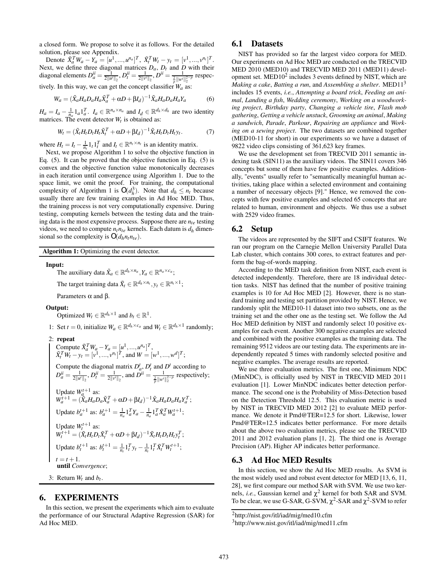a closed form. We propose to solve it as follows. For the detailed solution, please see Appendix.

Denote  $\tilde{X}_a^T W_a - Y_a = [u^1, ..., u^{n_a}]^T$ ,  $\tilde{X}_t^T W_t - y_t = [v^1, ..., v^{n_t}]^T$ . Next, we define three diagonal matrices  $D_a$ ,  $D_t$  and  $D$  with their diagonal elements  $D_a^{ii} = \frac{1}{2||u^i||_2}, D_t^{ii} = \frac{1}{2||v^i||_2}, D^{ii} = \frac{1}{\frac{2}{\rho}||w^i||_2^{2-\rho}}$  respectively. In this way, we can get the concept classifier  $W_a$  as:

$$
W_a = (\tilde{X}_a H_a D_a H_a \tilde{X}_a^T + \alpha D + \beta I_d)^{-1} \tilde{X}_a H_a D_a H_a Y_a \tag{6}
$$

 $H_a = I_a - \frac{1}{n_a} 1_a 1_a^T$ .  $I_a \in \mathbb{R}^{n_a \times n_a}$  and  $I_d \in \mathbb{R}^{d_h \times d_h}$  are two identity matrices. The event detector  $W_t$  is obtained as:

$$
W_t = (\tilde{X}_t H_t D_t H_t \tilde{X}_t^T + \alpha D + \beta I_d)^{-1} \tilde{X}_t H_t D_t H_t y_t.
$$
 (7)

where  $H_t = I_t - \frac{1}{n_t} \mathbb{1}_t \mathbb{1}_t^T$  and  $I_t \in \mathbb{R}^{n_t \times n_t}$  is an identity matrix.

Next, we propose Algorithm 1 to solve the objective function in Eq. (5). It can be proved that the objective function in Eq. (5) is convex and the objective function value monotonically decreases in each iteration until convergence using Algorithm 1. Due to the space limit, we omit the proof. For training, the computational complexity of Algorithm 1 is  $O(d_h^3)$ . Note that  $d_h \le n_t$  because usually there are few training examples in Ad Hoc MED. Thus, the training process is not very computationally expensive. During testing, computing kernels between the testing data and the training data is the most expensive process. Suppose there are *nte* testing videos, we need to compute  $n_t n_{te}$  kernels. Each datum is  $d_h$  dimensional so the complexity is  $O(d_h n_t n_{te})$ .

**Algorithm 1:** Optimizing the event detector.

**Input:**

The auxiliary data  $\tilde{X}_a \in \mathbb{R}^{d_h \times n_a}, Y_a \in \mathbb{R}^{n_a \times c_a}$ ;

The target training data  $\tilde{X}_t \in \mathbb{R}^{d_h \times n_t}, y_t \in \mathbb{R}^{n_t \times 1}$ ;

Parameters  $\alpha$  and  $\beta$ .

#### **Output:**

Optimized  $W_t \in \mathbb{R}^{d_h \times 1}$  and  $b_t \in \mathbb{R}^1$ .

1: Set 
$$
t = 0
$$
, initialize  $W_a \in \mathbb{R}^{d_h \times c_a}$  and  $W_t \in \mathbb{R}^{d_h \times 1}$  randomly;

2: **repeat**

Compute 
$$
\tilde{X}_a^T W_a - Y_a = [u^1, ..., u^{n_a}]^T
$$
,  
\n $\tilde{X}_t^T W_t - y_t = [v^1, ..., v^{n_t}]^T$ , and  $W = [w^1, ..., w^d]^T$ ;  
\nCompute the diagonal matrix  $D_a^t$ ,  $D_t^t$  and  $D^t$  according to  
\n $D_a^u = \frac{1}{2||u^t||_2}$ ,  $D_t^u = \frac{1}{2||v^t||_2}$ , and  $D^{u} = \frac{1}{\frac{2}{p}||w^t||_2^{2-p}}$  respectively;  
\nUpdate  $W_a^{t+1}$  as:  
\n $W_a^{t+1} = (\tilde{X}_a H_a D_a \tilde{X}_a^T + \alpha D + \beta I_d)^{-1} \tilde{X}_a H_a D_a H_a Y_a^T$ ;  
\nUpdate  $b_a^{t+1}$  as:  $b_a^{t+1} = \frac{1}{n_a} 1_a^T Y_a - \frac{1}{n_a} 1_a^T \tilde{X}_a^T W_a^{t+1}$ ;  
\nUpdate  $W_t^{t+1}$  as:  
\n $W_t^{t+1} = (\tilde{X}_t H_t D_t \tilde{X}_t^T + \alpha D + \beta I_d)^{-1} \tilde{X}_t H_t D_t H_t Y_t^T$ ;  
\nUpdate  $b_t^{t+1}$  as:  $b_t^{t+1} = \frac{1}{n_t} 1_t^T y_t - \frac{1}{n_t} 1_t^T \tilde{X}_t^T W_t^{t+1}$ ;  
\n $t = t + 1$ .  
\nuntil Convergence;  
\n3: Return  $W_t$  and  $b_t$ .

# **6. EXPERIMENTS**

In this section, we present the experiments which aim to evaluate the performance of our Structural Adaptive Regression (SAR) for Ad Hoc MED.

### **6.1 Datasets**

NIST has provided so far the largest video corpora for MED. Our experiments on Ad Hoc MED are conducted on the TRECVID MED 2010 (MED10) and TRECVID MED 2011 (MED11) development set.  $\text{MED10}^2$  includes 3 events defined by NIST, which are *Making a cake*, *Batting a run*, and *Assembling a shelter*. MED113 includes 15 events, *i.e.*, *Attempting a board trick*, *Feeding an animal*, *Landing a fish*, *Wedding ceremony*, *Working on a woodworking project*, *Birthday party*, *Changing a vehicle tire*, *Flash mob gathering*, *Getting a vehicle unstuck*, *Grooming an animal*, *Making a sandwich*, *Parade*, *Parkour*, *Repairing an appliance* and *Working on a sewing project*. The two datasets are combined together (MED10-11 for short) in our experiments so we have a dataset of 9822 video clips consisting of 361,623 key frames.

We use the development set from TRECVID 2011 semantic indexing task (SIN11) as the auxiliary videos. The SIN11 covers 346 concepts but some of them have few positive examples. Additionally, "events" usually refer to "semantically meaningful human activities, taking place within a selected environment and containing a number of necessary objects [9]." Hence, we removed the concepts with few positive examples and selected 65 concepts that are related to human, environment and objects. We thus use a subset with 2529 video frames.

### **6.2 Setup**

The videos are represented by the SIFT and CSIFT features. We ran our program on the Carnegie Mellon University Parallel Data Lab cluster, which contains 300 cores, to extract features and perform the bag-of-words mapping.

According to the MED task definition from NIST, each event is detected independently. Therefore, there are 18 individual detection tasks. NIST has defined that the number of positive training examples is 10 for Ad Hoc MED [2]. However, there is no standard training and testing set partition provided by NIST. Hence, we randomly split the MED10-11 dataset into two subsets, one as the training set and the other one as the testing set. We follow the Ad Hoc MED definition by NIST and randomly select 10 positive examples for each event. Another 300 negative examples are selected and combined with the positive examples as the training data. The remaining 9512 videos are our testing data. The experiments are independently repeated 5 times with randomly selected positive and negative examples. The average results are reported.

We use three evaluation metrics. The first one, Minimum NDC (MinNDC), is officially used by NIST in TRECVID MED 2011 evaluation [1]. Lower MinNDC indicates better detection performance. The second one is the Probability of Miss-Detection based on the Detection Threshold 12.5. This evaluation metric is used by NIST in TRECVID MED 2012 [2] to evaluate MED performance. We denote it Pmd@TER=12.5 for short. Likewise, lower Pmd@TER=12.5 indicates better performance. For more details about the above two evaluation metrics, please see the TRECVID 2011 and 2012 evaluation plans [1, 2]. The third one is Average Precision (AP). Higher AP indicates better performance.

### **6.3 Ad Hoc MED Results**

In this section, we show the Ad Hoc MED results. As SVM is the most widely used and robust event detector for MED [13, 6, 11, 28], we first compare our method SAR with SVM. We use two kernels, *i.e.*, Gaussian kernel and  $\chi^2$  kernel for both SAR and SVM. To be clear, we use G-SAR, G-SVM,  $\chi^2$ -SAR and  $\chi^2$ -SVM to refer

<sup>2</sup>http://nist.gov/itl/iad/mig/med10.cfm

<sup>3</sup>http://www.nist.gov/itl/iad/mig/med11.cfm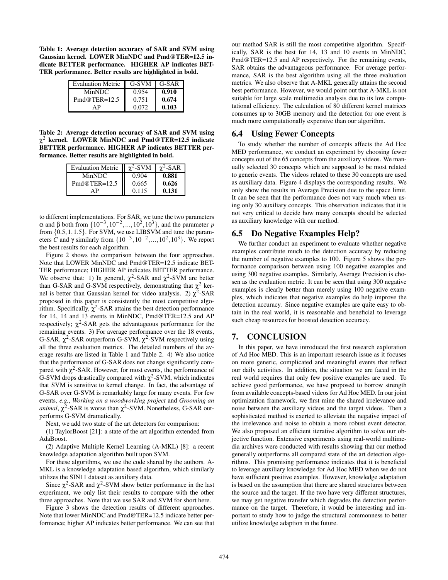**Table 1: Average detection accuracy of SAR and SVM using Gaussian kernel. LOWER MinNDC and Pmd@TER=12.5 indicate BETTER performance. HIGHER AP indicates BET-TER performance. Better results are highlighted in bold.**

| Evaluation Metric   G-SVM |       | G-SAR |
|---------------------------|-------|-------|
| MinNDC.                   | 0.954 | 0.910 |
| $Pmd@TER=12.5$            | 0.751 | 0.674 |
| ΔP                        | 0.072 | 0.103 |

**Table 2: Average detection accuracy of SAR and SVM using** χ<sup>2</sup> **kernel. LOWER MinNDC and Pmd@TER=12.5 indicate BETTER performance. HIGHER AP indicates BETTER performance. Better results are highlighted in bold.**

| <b>Evaluation Metric</b> | $\gamma^2$ -SVM | $\gamma^2$ -SAR |
|--------------------------|-----------------|-----------------|
| MinNDC.                  | 0.904           | 0.881           |
| $Pmd@TER=12.5$           | 0.665           | 0.626           |
| ΔP                       | 0.115           | 0.131           |

to different implementations. For SAR, we tune the two parameters α and β both from  $\{10^{-3}, 10^{-2}, ..., 10^{2}, 10^{3}\}$ , and the parameter *p* from {0.5,1,1.5}. For SVM, we use LIBSVM and tune the parameters *C* and  $\gamma$  similarly from  $\{10^{-3}, 10^{-2}, ..., 10^{2}, 10^{3}\}$ . We report the best results for each algorithm.

Figure 2 shows the comparison between the four approaches. Note that LOWER MinNDC and Pmd@TER=12.5 indicate BET-TER performance; HIGHER AP indicates BETTER performance. We observe that: 1) In general,  $\chi^2$ -SAR and  $\chi^2$ -SVM are better than G-SAR and G-SVM respectively, demonstrating that  $\chi^2$  kernel is better than Gaussian kernel for video analysis. 2)  $\chi^2$ -SAR proposed in this paper is consistently the most competitive algorithm. Specifically,  $\chi^2$ -SAR attains the best detection performance for 14, 14 and 13 events in MinNDC, Pmd@TER=12.5 and AP respectively;  $\chi^2$ -SAR gets the advantageous performance for the remaining events. 3) For average performance over the 18 events, G-SAR,  $\chi^2$ -SAR outperform G-SVM,  $\chi^2$ -SVM respectively using all the three evaluation metrics. The detailed numbers of the average results are listed in Table 1 and Table 2. 4) We also notice that the performance of G-SAR does not change significantly compared with  $\chi^2$ -SAR. However, for most events, the performance of G-SVM drops drastically compared with  $\chi^2$ -SVM, which indicates that SVM is sensitive to kernel change. In fact, the advantage of G-SAR over G-SVM is remarkably large for many events. For few events, *e.g.*, *Working on a woodworking project* and *Grooming an animal*,  $\chi^2$ -SAR is worse than  $\chi^2$ -SVM. Nonetheless, G-SAR outperforms G-SVM dramatically.

Next, we add two state of the art detectors for comparison:

(1) TaylorBoost [21]: a state of the art algorithm extended from AdaBoost.

(2) Adaptive Multiple Kernel Learning (A-MKL) [8]: a recent knowledge adaptation algorithm built upon SVM.

For these algorithms, we use the code shared by the authors. A-MKL is a knowledge adaptation based algorithm, which similarly utilizes the SIN11 dataset as auxiliary data.

Since  $\chi^2$ -SAR and  $\chi^2$ -SVM show better performance in the last experiment, we only list their results to compare with the other three approaches. Note that we use SAR and SVM for short here.

Figure 3 shows the detection results of different approaches. Note that lower MinNDC and Pmd@TER=12.5 indicate better performance; higher AP indicates better performance. We can see that our method SAR is still the most competitive algorithm. Specifically, SAR is the best for 14, 13 and 10 events in MinNDC, Pmd@TER=12.5 and AP respectively. For the remaining events, SAR obtains the advantageous performance. For average performance, SAR is the best algorithm using all the three evaluation metrics. We also observe that A-MKL generally attains the second best performance. However, we would point out that A-MKL is not suitable for large scale multimedia analysis due to its low computational efficiency. The calculation of 80 different kernel matrices consumes up to 30GB memory and the detection for one event is much more computationally expensive than our algorithm.

### **6.4 Using Fewer Concepts**

To study whether the number of concepts affects the Ad Hoc MED performance, we conduct an experiment by choosing fewer concepts out of the 65 concepts from the auxiliary videos. We manually selected 30 concepts which are supposed to be most related to generic events. The videos related to these 30 concepts are used as auxiliary data. Figure 4 displays the corresponding results. We only show the results in Average Precision due to the space limit. It can be seen that the performance does not vary much when using only 30 auxiliary concepts. This observation indicates that it is not very critical to decide how many concepts should be selected as auxiliary knowledge with our method.

### **6.5 Do Negative Examples Help?**

We further conduct an experiment to evaluate whether negative examples contribute much to the detection accuracy by reducing the number of negative examples to 100. Figure 5 shows the performance comparison between using 100 negative examples and using 300 negative examples. Similarly, Average Precision is chosen as the evaluation metric. It can be seen that using 300 negative examples is clearly better than merely using 100 negative examples, which indicates that negative examples do help improve the detection accuracy. Since negative examples are quite easy to obtain in the real world, it is reasonable and beneficial to leverage such cheap resources for boosted detection accuracy.

# **7. CONCLUSION**

In this paper, we have introduced the first research exploration of Ad Hoc MED. This is an important research issue as it focuses on more generic, complicated and meaningful events that reflect our daily activities. In addition, the situation we are faced in the real world requires that only few positive examples are used. To achieve good performance, we have proposed to borrow strength from available concepts-based videos for Ad Hoc MED. In our joint optimization framework, we first mine the shared irrelevance and noise between the auxiliary videos and the target videos. Then a sophisticated method is exerted to alleviate the negative impact of the irrelevance and noise to obtain a more robust event detector. We also proposed an efficient iterative algorithm to solve our objective function. Extensive experiments using real-world multimedia archives were conducted with results showing that our method generally outperforms all compared state of the art detection algorithms. This promising performance indicates that it is beneficial to leverage auxiliary knowledge for Ad Hoc MED when we do not have sufficient positive examples. However, knowledge adaptation is based on the assumption that there are shared structures between the source and the target. If the two have very different structures, we may get negative transfer which degrades the detection performance on the target. Therefore, it would be interesting and important to study how to judge the structural commonness to better utilize knowledge adaption in the future.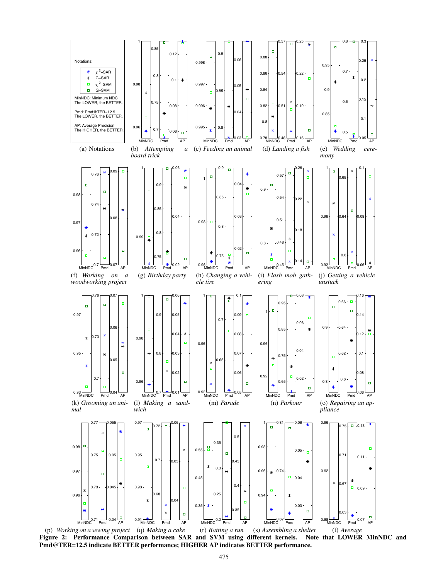

(p) *Working on a sewing project* (q) *Making a cake* (r) *Batting a run* (s) *Assembling a shelter* **Figure 2: Performance Comparison between SAR and SVM using different kernels. Note that LOWER MinNDC and Pmd@TER=12.5 indicate BETTER performance; HIGHER AP indicates BETTER performance.**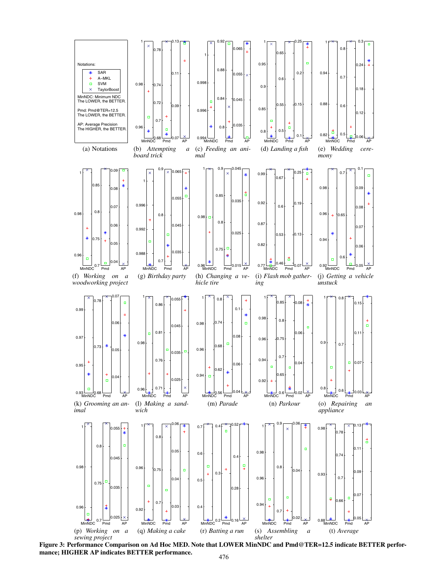

**Figure 3: Performance Comparison on Ad Hoc MED. Note that LOWER MinNDC and Pmd@TER=12.5 indicate BETTER performance; HIGHER AP indicates BETTER performance.**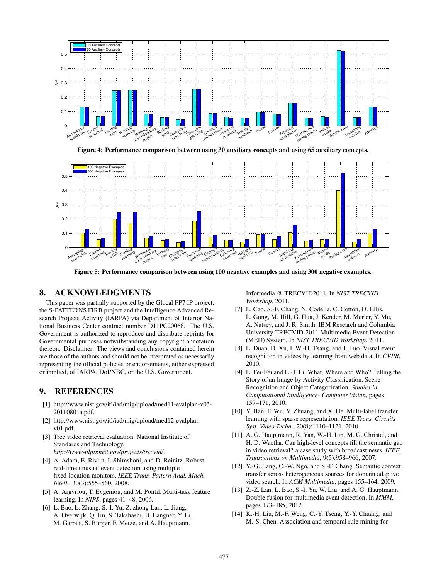

**Figure 4: Performance comparison between using 30 auxiliary concepts and using 65 auxiliary concepts.**



**Figure 5: Performance comparison between using 100 negative examples and using 300 negative examples.**

### **8. ACKNOWLEDGMENTS**

This paper was partially supported by the Glocal FP7 IP project, the S-PATTERNS FIRB project and the Intelligence Advanced Research Projects Activity (IARPA) via Department of Interior National Business Center contract number D11PC20068. The U.S. Government is authorized to reproduce and distribute reprints for Governmental purposes notwithstanding any copyright annotation thereon. Disclaimer: The views and conclusions contained herein are those of the authors and should not be interpreted as necessarily representing the official policies or endorsements, either expressed or implied, of IARPA, DoI/NBC, or the U.S. Government.

# **9. REFERENCES**

- [1] http://www.nist.gov/itl/iad/mig/upload/med11-evalplan-v03- 20110801a.pdf.
- [2] http://www.nist.gov/itl/iad/mig/upload/med12-evalplanv01.pdf.
- [3] Trec video retrieval evaluation. National Institute of Standards and Technology. *http://www-nlpir.nist.gov/projects/trecvid/*.
- [4] A. Adam, E. Rivlin, I. Shimshoni, and D. Reinitz. Robust real-time unusual event detection using multiple fixed-location monitors. *IEEE Trans. Pattern Anal. Mach. Intell.*, 30(3):555–560, 2008.
- [5] A. Argyriou, T. Evgeniou, and M. Pontil. Multi-task feature learning. In *NIPS*, pages 41–48, 2006.
- [6] L. Bao, L. Zhang, S.-I. Yu, Z. zhong Lan, L. Jiang, A. Overwijk, Q. Jin, S. Takahashi, B. Langner, Y. Li, M. Garbus, S. Burger, F. Metze, and A. Hauptmann.

Informedia @ TRECVID2011. In *NIST TRECVID Workshop*, 2011.

- [7] L. Cao, S.-F. Chang, N. Codella, C. Cotton, D. Ellis, L. Gong, M. Hill, G. Hua, J. Kender, M. Merler, Y. Mu, A. Natsev, and J. R. Smith. IBM Research and Columbia University TRECVID-2011 Multimedia Event Detection (MED) System. In *NIST TRECVID Workshop*, 2011.
- [8] L. Duan, D. Xu, I. W.-H. Tsang, and J. Luo. Visual event recognition in videos by learning from web data. In *CVPR*, 2010.
- [9] L. Fei-Fei and L.-J. Li. What, Where and Who? Telling the Story of an Image by Activity Classification, Scene Recognition and Object Categorization. *Studies in Computational Intelligence- Computer Vision*, pages 157–171, 2010.
- [10] Y. Han, F. Wu, Y. Zhuang, and X. He. Multi-label transfer learning with sparse representation. *IEEE Trans. Circuits Syst. Video Techn.*, 20(8):1110–1121, 2010.
- [11] A. G. Hauptmann, R. Yan, W.-H. Lin, M. G. Christel, and H. D. Wactlar. Can high-level concepts fill the semantic gap in video retrieval? a case study with broadcast news. *IEEE Transactions on Multimedia*, 9(5):958–966, 2007.
- [12] Y.-G. Jiang, C.-W. Ngo, and S.-F. Chang. Semantic context transfer across heterogeneous sources for domain adaptive video search. In *ACM Multimedia*, pages 155–164, 2009.
- [13] Z.-Z. Lan, L. Bao, S.-I. Yu, W. Liu, and A. G. Hauptmann. Double fusion for multimedia event detection. In *MMM*, pages 173–185, 2012.
- [14] K.-H. Liu, M.-F. Weng, C.-Y. Tseng, Y.-Y. Chuang, and M.-S. Chen. Association and temporal rule mining for